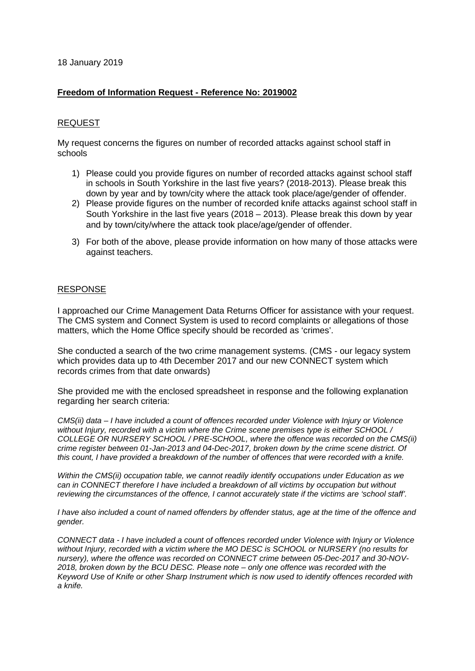## 18 January 2019

## **Freedom of Information Request - Reference No: 2019002**

## REQUEST

My request concerns the figures on number of recorded attacks against school staff in schools

- 1) Please could you provide figures on number of recorded attacks against school staff in schools in South Yorkshire in the last five years? (2018-2013). Please break this down by year and by town/city where the attack took place/age/gender of offender.
- 2) Please provide figures on the number of recorded knife attacks against school staff in South Yorkshire in the last five years (2018 – 2013). Please break this down by year and by town/city/where the attack took place/age/gender of offender.
- 3) For both of the above, please provide information on how many of those attacks were against teachers.

## RESPONSE

I approached our Crime Management Data Returns Officer for assistance with your request. The CMS system and Connect System is used to record complaints or allegations of those matters, which the Home Office specify should be recorded as 'crimes'.

She conducted a search of the two crime management systems. (CMS - our legacy system which provides data up to 4th December 2017 and our new CONNECT system which records crimes from that date onwards)

She provided me with the enclosed spreadsheet in response and the following explanation regarding her search criteria:

*CMS(ii) data – I have included a count of offences recorded under Violence with Injury or Violence without Injury, recorded with a victim where the Crime scene premises type is either SCHOOL / COLLEGE OR NURSERY SCHOOL / PRE-SCHOOL, where the offence was recorded on the CMS(ii) crime register between 01-Jan-2013 and 04-Dec-2017, broken down by the crime scene district. Of this count, I have provided a breakdown of the number of offences that were recorded with a knife.* 

*Within the CMS(ii) occupation table, we cannot readily identify occupations under Education as we can in CONNECT therefore I have included a breakdown of all victims by occupation but without reviewing the circumstances of the offence, I cannot accurately state if the victims are 'school staff'.* 

*I have also included a count of named offenders by offender status, age at the time of the offence and gender.* 

*CONNECT data - I have included a count of offences recorded under Violence with Injury or Violence without Injury, recorded with a victim where the MO DESC is SCHOOL or NURSERY (no results for nursery), where the offence was recorded on CONNECT crime between 05-Dec-2017 and 30-NOV-2018, broken down by the BCU DESC. Please note – only one offence was recorded with the Keyword Use of Knife or other Sharp Instrument which is now used to identify offences recorded with a knife.*